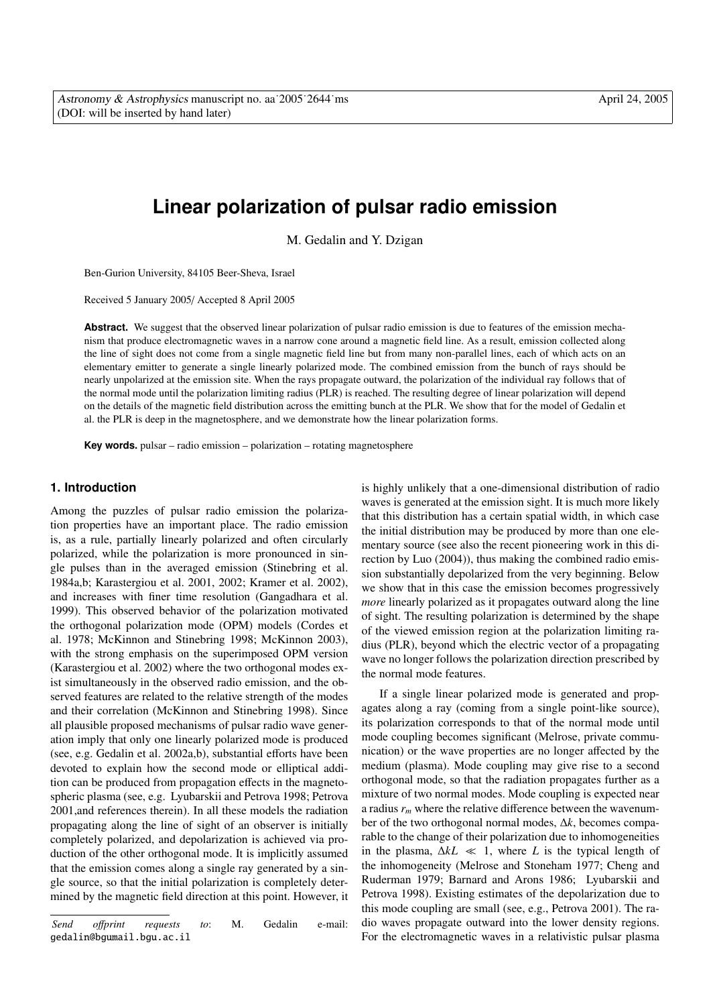# **Linear polarization of pulsar radio emission**

M. Gedalin and Y. Dzigan

Ben-Gurion University, 84105 Beer-Sheva, Israel

Received 5 January 2005/ Accepted 8 April 2005

Abstract. We suggest that the observed linear polarization of pulsar radio emission is due to features of the emission mechanism that produce electromagnetic waves in a narrow cone around a magnetic field line. As a result, emission collected along the line of sight does not come from a single magnetic field line but from many non-parallel lines, each of which acts on an elementary emitter to generate a single linearly polarized mode. The combined emission from the bunch of rays should be nearly unpolarized at the emission site. When the rays propagate outward, the polarization of the individual ray follows that of the normal mode until the polarization limiting radius (PLR) is reached. The resulting degree of linear polarization will depend on the details of the magnetic field distribution across the emitting bunch at the PLR. We show that for the model of Gedalin et al. the PLR is deep in the magnetosphere, and we demonstrate how the linear polarization forms.

**Key words.** pulsar – radio emission – polarization – rotating magnetosphere

#### **1. Introduction**

Among the puzzles of pulsar radio emission the polarization properties have an important place. The radio emission is, as a rule, partially linearly polarized and often circularly polarized, while the polarization is more pronounced in single pulses than in the averaged emission (Stinebring et al. 1984a,b; Karastergiou et al. 2001, 2002; Kramer et al. 2002), and increases with finer time resolution (Gangadhara et al. 1999). This observed behavior of the polarization motivated the orthogonal polarization mode (OPM) models (Cordes et al. 1978; McKinnon and Stinebring 1998; McKinnon 2003), with the strong emphasis on the superimposed OPM version (Karastergiou et al. 2002) where the two orthogonal modes exist simultaneously in the observed radio emission, and the observed features are related to the relative strength of the modes and their correlation (McKinnon and Stinebring 1998). Since all plausible proposed mechanisms of pulsar radio wave generation imply that only one linearly polarized mode is produced (see, e.g. Gedalin et al. 2002a,b), substantial efforts have been devoted to explain how the second mode or elliptical addition can be produced from propagation effects in the magnetospheric plasma (see, e.g. Lyubarskii and Petrova 1998; Petrova 2001,and references therein). In all these models the radiation propagating along the line of sight of an observer is initially completely polarized, and depolarization is achieved via production of the other orthogonal mode. It is implicitly assumed that the emission comes along a single ray generated by a single source, so that the initial polarization is completely determined by the magnetic field direction at this point. However, it is highly unlikely that a one-dimensional distribution of radio waves is generated at the emission sight. It is much more likely that this distribution has a certain spatial width, in which case the initial distribution may be produced by more than one elementary source (see also the recent pioneering work in this direction by Luo (2004)), thus making the combined radio emission substantially depolarized from the very beginning. Below we show that in this case the emission becomes progressively *more* linearly polarized as it propagates outward along the line of sight. The resulting polarization is determined by the shape of the viewed emission region at the polarization limiting radius (PLR), beyond which the electric vector of a propagating wave no longer follows the polarization direction prescribed by the normal mode features.

If a single linear polarized mode is generated and propagates along a ray (coming from a single point-like source), its polarization corresponds to that of the normal mode until mode coupling becomes significant (Melrose, private communication) or the wave properties are no longer affected by the medium (plasma). Mode coupling may give rise to a second orthogonal mode, so that the radiation propagates further as a mixture of two normal modes. Mode coupling is expected near a radius  $r_m$  where the relative difference between the wavenumber of the two orthogonal normal modes, ∆*k*, becomes comparable to the change of their polarization due to inhomogeneities in the plasma,  $\Delta kL \ll 1$ , where *L* is the typical length of the inhomogeneity (Melrose and Stoneham 1977; Cheng and Ruderman 1979; Barnard and Arons 1986; Lyubarskii and Petrova 1998). Existing estimates of the depolarization due to this mode coupling are small (see, e.g., Petrova 2001). The radio waves propagate outward into the lower density regions. For the electromagnetic waves in a relativistic pulsar plasma

*Send o*ff*print requests to*: M. Gedalin e-mail: gedalin@bgumail.bgu.ac.il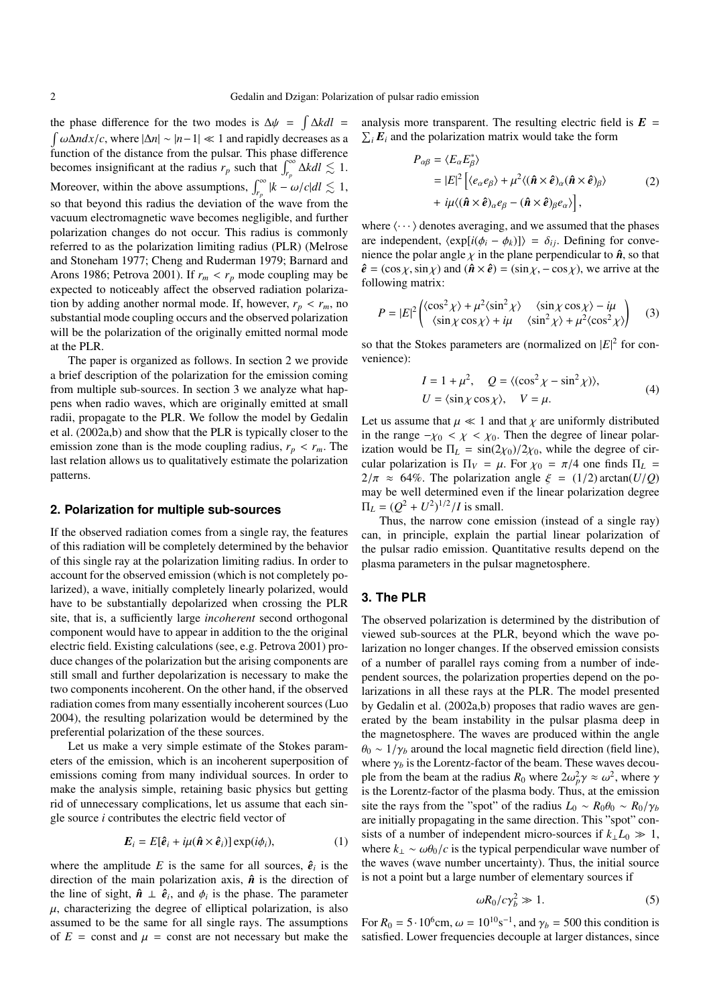the phase difference for the two modes is  $\Delta \psi = \int \Delta k dl =$  $\int \omega \Delta n dx/c$ , where  $|\Delta n| \sim |n-1| \ll 1$  and rapidly decreases as a function of the distance from the pulsar. This phase difference function of the distance from the pulsar. This phase difference becomes insignificant at the radius  $r_p$  such that  $\int_{r_p}^{\infty} \Delta k dl \lesssim 1$ . Moreover, within the above assumptions,  $\int_{r_p}^{\infty} |k - \omega/c| dl \lesssim 1$ , so that beyond this radius the deviation of the wave from the vacuum electromagnetic wave becomes negligible, and further polarization changes do not occur. This radius is commonly referred to as the polarization limiting radius (PLR) (Melrose and Stoneham 1977; Cheng and Ruderman 1979; Barnard and Arons 1986; Petrova 2001). If  $r_m < r_p$  mode coupling may be expected to noticeably affect the observed radiation polarization by adding another normal mode. If, however,  $r_p < r_m$ , no substantial mode coupling occurs and the observed polarization will be the polarization of the originally emitted normal mode at the PLR.

The paper is organized as follows. In section 2 we provide a brief description of the polarization for the emission coming from multiple sub-sources. In section 3 we analyze what happens when radio waves, which are originally emitted at small radii, propagate to the PLR. We follow the model by Gedalin et al. (2002a,b) and show that the PLR is typically closer to the emission zone than is the mode coupling radius,  $r_p < r_m$ . The last relation allows us to qualitatively estimate the polarization patterns.

### **2. Polarization for multiple sub-sources**

If the observed radiation comes from a single ray, the features of this radiation will be completely determined by the behavior of this single ray at the polarization limiting radius. In order to account for the observed emission (which is not completely polarized), a wave, initially completely linearly polarized, would have to be substantially depolarized when crossing the PLR site, that is, a sufficiently large *incoherent* second orthogonal component would have to appear in addition to the the original electric field. Existing calculations (see, e.g. Petrova 2001) produce changes of the polarization but the arising components are still small and further depolarization is necessary to make the two components incoherent. On the other hand, if the observed radiation comes from many essentially incoherent sources (Luo 2004), the resulting polarization would be determined by the preferential polarization of the these sources.

Let us make a very simple estimate of the Stokes parameters of the emission, which is an incoherent superposition of emissions coming from many individual sources. In order to make the analysis simple, retaining basic physics but getting rid of unnecessary complications, let us assume that each single source *i* contributes the electric field vector of

$$
E_i = E[\hat{e}_i + i\mu(\hat{n} \times \hat{e}_i)] \exp(i\phi_i), \qquad (1)
$$

where the amplitude  $E$  is the same for all sources,  $\hat{e}_i$  is the direction of the main polarization axis,  $\hat{n}$  is the direction of the line of sight,  $\hat{\mathbf{n}} \perp \hat{\mathbf{e}}_i$ , and  $\phi_i$  is the phase. The parameter  $\mu$  characterizing the degree of elliptical polarization is also  $\mu$ , characterizing the degree of elliptical polarization, is also assumed to be the same for all single rays. The assumptions of  $E = \text{const}$  and  $\mu = \text{const}$  are not necessary but make the analysis more transparent. The resulting electric field is  $E =$  $\sum_i \mathbf{E}_i$  and the polarization matrix would take the form

$$
P_{\alpha\beta} = \langle E_{\alpha} E_{\beta}^* \rangle
$$
  
=  $|E|^2 \left[ \langle e_{\alpha} e_{\beta} \rangle + \mu^2 \langle (\hat{\boldsymbol{n}} \times \hat{\boldsymbol{e}})_{\alpha} (\hat{\boldsymbol{n}} \times \hat{\boldsymbol{e}})_{\beta} \rangle + i\mu \langle (\hat{\boldsymbol{n}} \times \hat{\boldsymbol{e}})_{\alpha} e_{\beta} - (\hat{\boldsymbol{n}} \times \hat{\boldsymbol{e}})_{\beta} e_{\alpha} \rangle \right],$  (2)

where  $\langle \cdots \rangle$  denotes averaging, and we assumed that the phases are independent,  $\langle \exp[i(\phi_i - \phi_k)] \rangle = \delta_{ij}$ . Defining for convenience the polar angle  $\chi$  in the plane perpendicular to  $\hat{\boldsymbol{n}}$ , so that  $\hat{\mathbf{e}} = (\cos \chi, \sin \chi)$  and  $(\hat{\mathbf{n}} \times \hat{\mathbf{e}}) = (\sin \chi, -\cos \chi)$ , we arrive at the following matrix:

$$
P = |E|^2 \begin{pmatrix} \langle \cos^2 \chi \rangle + \mu^2 \langle \sin^2 \chi \rangle & \langle \sin \chi \cos \chi \rangle - i\mu \\ \langle \sin \chi \cos \chi \rangle + i\mu & \langle \sin^2 \chi \rangle + \mu^2 \langle \cos^2 \chi \rangle \end{pmatrix}
$$
 (3)

so that the Stokes parameters are (normalized on  $|E|^2$  for convenience):

$$
I = 1 + \mu^2, \quad Q = \langle (\cos^2 \chi - \sin^2 \chi) \rangle,
$$
  
\n
$$
U = \langle \sin \chi \cos \chi \rangle, \quad V = \mu.
$$
 (4)

Let us assume that  $\mu \ll 1$  and that  $\chi$  are uniformly distributed in the range  $-\chi_0 < \chi < \chi_0$ . Then the degree of linear polarization would be  $\Pi_L = \frac{\sin(2\chi_0)}{2\chi_0}$ , while the degree of circular polarization is  $\Pi_V = \mu$ . For  $\chi_0 = \pi/4$  one finds  $\Pi_L =$  $2/\pi \approx 64\%$ . The polarization angle  $\xi = (1/2) \arctan(U/Q)$ may be well determined even if the linear polarization degree  $\Pi_L = (Q^2 + U^2)^{1/2}/I$  is small.<br>Thus the narrow cone er

Thus, the narrow cone emission (instead of a single ray) can, in principle, explain the partial linear polarization of the pulsar radio emission. Quantitative results depend on the plasma parameters in the pulsar magnetosphere.

## **3. The PLR**

The observed polarization is determined by the distribution of viewed sub-sources at the PLR, beyond which the wave polarization no longer changes. If the observed emission consists of a number of parallel rays coming from a number of independent sources, the polarization properties depend on the polarizations in all these rays at the PLR. The model presented by Gedalin et al. (2002a,b) proposes that radio waves are generated by the beam instability in the pulsar plasma deep in the magnetosphere. The waves are produced within the angle  $\theta_0 \sim 1/\gamma_b$  around the local magnetic field direction (field line), where  $\gamma_b$  is the Lorentz-factor of the beam. These waves decouple from the beam at the radius  $R_0$  where  $2\omega_p^2 \gamma \approx \omega^2$ , where  $\gamma$  is the Lorentz-factor of the plasma body. Thus, at the emission is the Lorentz-factor of the plasma body. Thus, at the emission site the rays from the "spot" of the radius  $L_0 \sim R_0 \theta_0 \sim R_0 / \gamma_b$ are initially propagating in the same direction. This "spot" consists of a number of independent micro-sources if  $k_{\perp}L_0 \gg 1$ , where  $k_{\perp} \sim \omega \theta_0/c$  is the typical perpendicular wave number of the waves (wave number uncertainty). Thus, the initial source is not a point but a large number of elementary sources if

$$
\omega R_0 / c \gamma_b^2 \gg 1. \tag{5}
$$

For  $R_0 = 5 \cdot 10^6$  cm,  $\omega = 10^{10}$  s<sup>-1</sup>, and  $\gamma_b = 500$  this condition is satisfied. Lower frequencies decouple at larger distances, since satisfied. Lower frequencies decouple at larger distances, since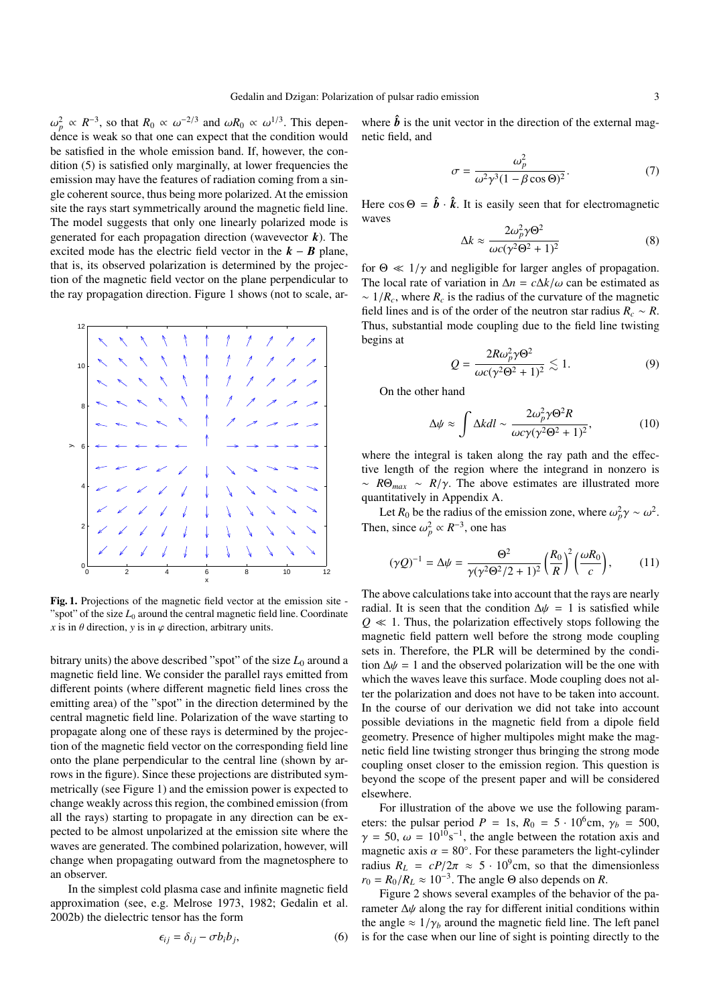$\frac{p}{\pi}$  dence is weak so that one can expect that the condition would  $\mu_p^2 \propto R^{-3}$ , so that  $R_0 \propto \omega^{-2/3}$  and  $\omega R_0 \propto \omega^{1/3}$ . This depen-<br>ence is weak so that one can expect that the condition would be satisfied in the whole emission band. If, however, the condition (5) is satisfied only marginally, at lower frequencies the emission may have the features of radiation coming from a single coherent source, thus being more polarized. At the emission site the rays start symmetrically around the magnetic field line. The model suggests that only one linearly polarized mode is generated for each propagation direction (wavevector *k*). The excited mode has the electric field vector in the  $k - B$  plane, that is, its observed polarization is determined by the projection of the magnetic field vector on the plane perpendicular to the ray propagation direction. Figure 1 shows (not to scale, ar-



Fig. 1. Projections of the magnetic field vector at the emission site - "spot" of the size  $L_0$  around the central magnetic field line. Coordinate *x* is in  $\theta$  direction, *y* is in  $\varphi$  direction, arbitrary units.

bitrary units) the above described "spot" of the size  $L_0$  around a magnetic field line. We consider the parallel rays emitted from different points (where different magnetic field lines cross the emitting area) of the "spot" in the direction determined by the central magnetic field line. Polarization of the wave starting to propagate along one of these rays is determined by the projection of the magnetic field vector on the corresponding field line onto the plane perpendicular to the central line (shown by arrows in the figure). Since these projections are distributed symmetrically (see Figure 1) and the emission power is expected to change weakly across this region, the combined emission (from all the rays) starting to propagate in any direction can be expected to be almost unpolarized at the emission site where the waves are generated. The combined polarization, however, will change when propagating outward from the magnetosphere to an observer.

In the simplest cold plasma case and infinite magnetic field approximation (see, e.g. Melrose 1973, 1982; Gedalin et al. 2002b) the dielectric tensor has the form

$$
\epsilon_{ij} = \delta_{ij} - \sigma b_i b_j, \tag{6}
$$

where  $\hat{b}$  is the unit vector in the direction of the external magnetic field, and

$$
\sigma = \frac{\omega_p^2}{\omega^2 \gamma^3 (1 - \beta \cos \Theta)^2}.
$$
 (7)

Here  $\cos \Theta = \hat{\boldsymbol{b}} \cdot \hat{\boldsymbol{k}}$ . It is easily seen that for electromagnetic waves

$$
\Delta k \approx \frac{2\omega_p^2 \gamma \Theta^2}{\omega c (\gamma^2 \Theta^2 + 1)^2}
$$
 (8)

for  $\Theta \ll 1/\gamma$  and negligible for larger angles of propagation.<br>The local rate of variation in  $\Delta n = c \Delta k/\omega$  can be estimated as The local rate of variation in  $\Delta n = c \Delta k / \omega$  can be estimated as  $\sim 1/R_c$ , where  $R_c$  is the radius of the curvature of the magnetic field lines and is of the order of the neutron star radius  $R_c \sim R$ . Thus, substantial mode coupling due to the field line twisting begins at

$$
Q = \frac{2R\omega_p^2 \gamma \Theta^2}{\omega c (\gamma^2 \Theta^2 + 1)^2} \lesssim 1.
$$
 (9)

On the other hand

$$
\Delta \psi \approx \int \Delta k dl \sim \frac{2\omega_p^2 \gamma \Theta^2 R}{\omega c \gamma (\gamma^2 \Theta^2 + 1)^2},\tag{10}
$$

where the integral is taken along the ray path and the effective length of the region where the integrand in nonzero is <sup>∼</sup> *<sup>R</sup>*Θ*max* <sup>∼</sup> *<sup>R</sup>*/γ. The above estimates are illustrated more quantitatively in Appendix A.

Let  $R_0$  be the radius of the emission zone, where  $\omega_p^2 \gamma \sim \omega^2$ . Then, since  $\omega_p^2 \propto R^{-3}$ , one has

$$
(\gamma Q)^{-1} = \Delta \psi = \frac{\Theta^2}{\gamma (\gamma^2 \Theta^2 / 2 + 1)^2} \left(\frac{R_0}{R}\right)^2 \left(\frac{\omega R_0}{c}\right),\tag{11}
$$

The above calculations take into account that the rays are nearly radial. It is seen that the condition  $\Delta \psi = 1$  is satisfied while  $Q \ll 1$ . Thus, the polarization effectively stops following the magnetic field pattern well before the strong mode coupling sets in. Therefore, the PLR will be determined by the condition  $\Delta \psi = 1$  and the observed polarization will be the one with which the waves leave this surface. Mode coupling does not alter the polarization and does not have to be taken into account. In the course of our derivation we did not take into account possible deviations in the magnetic field from a dipole field geometry. Presence of higher multipoles might make the magnetic field line twisting stronger thus bringing the strong mode coupling onset closer to the emission region. This question is beyond the scope of the present paper and will be considered elsewhere.

For illustration of the above we use the following parameters: the pulsar period  $P = 1$ s,  $R_0 = 5 \cdot 10^6$ cm,  $\gamma_b = 500$ ,  $\gamma = 50 \approx -10^{10}$ s<sup>-1</sup> the angle between the rotation axis and  $\gamma = 50$ ,  $\omega = 10^{10} \text{s}^{-1}$ , the angle between the rotation axis and magnetic axis  $\alpha = 80^\circ$ . For these parameters the light-cylinder magnetic axis  $\alpha = 80^\circ$ . For these parameters the light-cylinder<br>radius  $R_t = cP/2\pi \approx 5 \cdot 10^\circ$  cm, so that the dimensionless radius  $R_L = cP/2\pi \approx 5 \cdot 10^9$  cm, so that the dimensionless  $r_0 = R_0/R$ ,  $\approx 10^{-3}$  The angle  $\Theta$  also depends on R  $r_0 = R_0/R_L \approx 10^{-3}$ . The angle Θ also depends on *R*.<br>Figure 2 shows several examples of the behavior

Figure 2 shows several examples of the behavior of the parameter  $\Delta \psi$  along the ray for different initial conditions within the angle  $\approx 1/\gamma_b$  around the magnetic field line. The left panel is for the case when our line of sight is pointing directly to the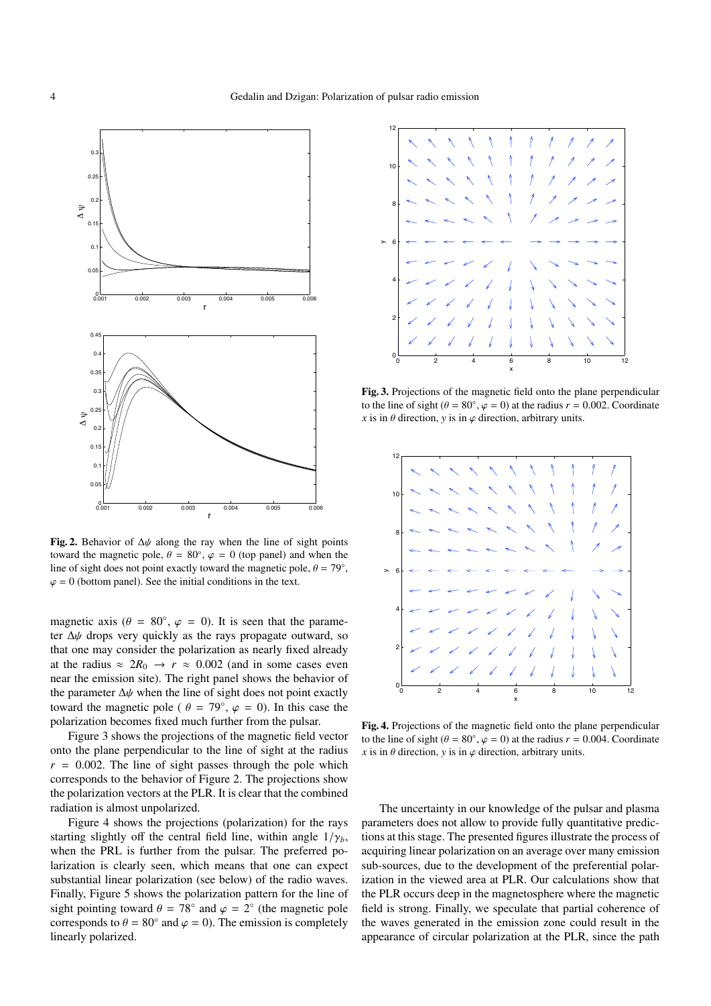

Fig. 2. Behavior of  $\Delta \psi$  along the ray when the line of sight points toward the magnetic pole,  $\theta = 80^\circ$ ,  $\varphi = 0$  (top panel) and when the line of sight does not point exactly toward the magnetic pole  $\theta = 70^\circ$ line of sight does not point exactly toward the magnetic pole,  $\theta = 79^\circ$ ,  $\omega = 0$  (bottom panel). See the initial conditions in the text  $\varphi = 0$  (bottom panel). See the initial conditions in the text.

magnetic axis ( $\theta = 80^\circ$ ,  $\varphi = 0$ ). It is seen that the parame-<br>ter  $\Delta \psi$  drops very quickly as the rays propagate outward, so ter <sup>∆</sup>ψ drops very quickly as the rays propagate outward, so that one may consider the polarization as nearly fixed already at the radius  $\approx 2R_0 \rightarrow r \approx 0.002$  (and in some cases even near the emission site). The right panel shows the behavior of the parameter  $\Delta \psi$  when the line of sight does not point exactly toward the magnetic pole (  $\theta = 79^\circ$ ,  $\varphi = 0$ ). In this case the polarization becomes fixed much further from the pulsar polarization becomes fixed much further from the pulsar.

Figure 3 shows the projections of the magnetic field vector onto the plane perpendicular to the line of sight at the radius  $r = 0.002$ . The line of sight passes through the pole which corresponds to the behavior of Figure 2. The projections show the polarization vectors at the PLR. It is clear that the combined radiation is almost unpolarized.

Figure 4 shows the projections (polarization) for the rays starting slightly off the central field line, within angle  $1/\gamma_b$ , when the PRL is further from the pulsar. The preferred polarization is clearly seen, which means that one can expect substantial linear polarization (see below) of the radio waves. Finally, Figure 5 shows the polarization pattern for the line of sight pointing toward  $\theta = 78^\circ$  and  $\varphi = 2^\circ$  (the magnetic pole<br>corresponds to  $\theta = 80^\circ$  and  $\varphi = 0$ ). The emission is completely corresponds to  $\theta = 80^\circ$  and  $\varphi = 0$ ). The emission is completely linearly polarized linearly polarized.



Fig. 3. Projections of the magnetic field onto the plane perpendicular to the line of sight ( $\theta = 80^\circ$ ,  $\varphi = 0$ ) at the radius  $r = 0.002$ . Coordinate *r* is in  $\theta$  direction, *y* is in  $\varphi$  direction, arbitrary units *x* is in  $\theta$  direction, *y* is in  $\varphi$  direction, arbitrary units.



Fig. 4. Projections of the magnetic field onto the plane perpendicular to the line of sight ( $\theta = 80^\circ$ ,  $\varphi = 0$ ) at the radius  $r = 0.004$ . Coordinate *x* is in  $\theta$  direction, *y* is in  $\varphi$  direction, arbitrary units.

The uncertainty in our knowledge of the pulsar and plasma parameters does not allow to provide fully quantitative predictions at this stage. The presented figures illustrate the process of acquiring linear polarization on an average over many emission sub-sources, due to the development of the preferential polarization in the viewed area at PLR. Our calculations show that the PLR occurs deep in the magnetosphere where the magnetic field is strong. Finally, we speculate that partial coherence of the waves generated in the emission zone could result in the appearance of circular polarization at the PLR, since the path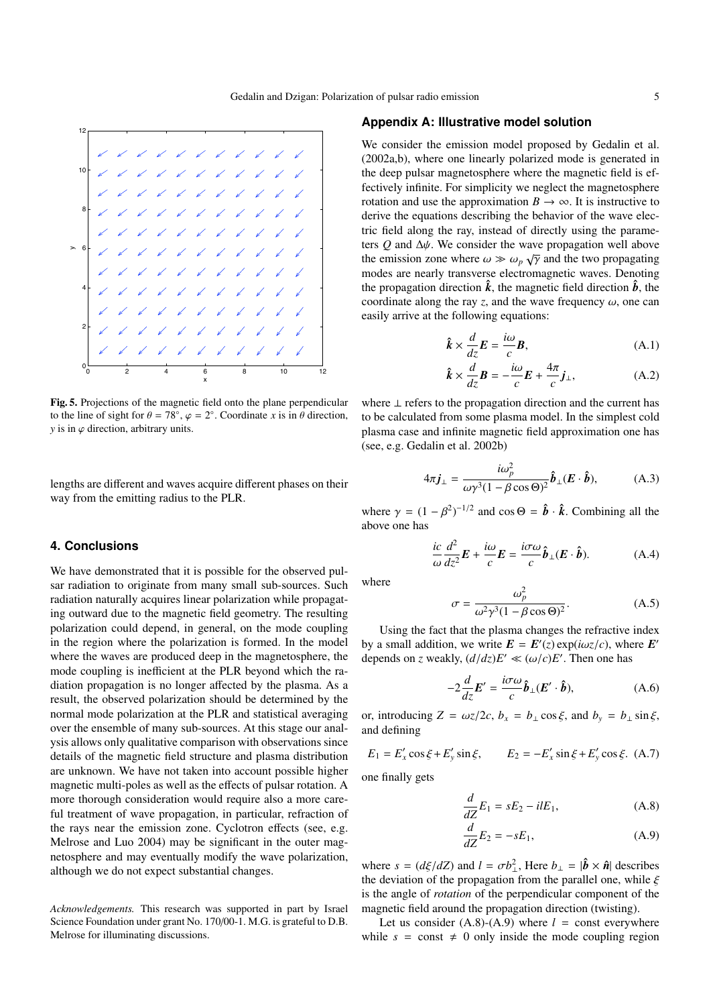

Fig. 5. Projections of the magnetic field onto the plane perpendicular to the line of sight for  $\theta = 78^\circ$ ,  $\varphi = 2^\circ$ . Coordinate *x* is in  $\theta$  direction, *y* is in  $\varphi$  direction, arbitrary units.

lengths are different and waves acquire different phases on their way from the emitting radius to the PLR.

## **4. Conclusions**

We have demonstrated that it is possible for the observed pulsar radiation to originate from many small sub-sources. Such radiation naturally acquires linear polarization while propagating outward due to the magnetic field geometry. The resulting polarization could depend, in general, on the mode coupling in the region where the polarization is formed. In the model where the waves are produced deep in the magnetosphere, the mode coupling is inefficient at the PLR beyond which the radiation propagation is no longer affected by the plasma. As a result, the observed polarization should be determined by the normal mode polarization at the PLR and statistical averaging over the ensemble of many sub-sources. At this stage our analysis allows only qualitative comparison with observations since details of the magnetic field structure and plasma distribution are unknown. We have not taken into account possible higher magnetic multi-poles as well as the effects of pulsar rotation. A more thorough consideration would require also a more careful treatment of wave propagation, in particular, refraction of the rays near the emission zone. Cyclotron effects (see, e.g. Melrose and Luo 2004) may be significant in the outer magnetosphere and may eventually modify the wave polarization, although we do not expect substantial changes.

*Acknowledgements.* This research was supported in part by Israel Science Foundation under grant No. 170/00-1. M.G. is grateful to D.B. Melrose for illuminating discussions.

## **Appendix A: Illustrative model solution**

We consider the emission model proposed by Gedalin et al. (2002a,b), where one linearly polarized mode is generated in the deep pulsar magnetosphere where the magnetic field is effectively infinite. For simplicity we neglect the magnetosphere rotation and use the approximation  $B \to \infty$ . It is instructive to derive the equations describing the behavior of the wave electric field along the ray, instead of directly using the parameters *Q* and  $\Delta \psi$ . We consider the wave propagation well above<br>the emission zone where  $\omega \gg \omega_0 \sqrt{2}$  and the two propagating the emission zone where  $\omega \gg \omega_p \sqrt{\gamma}$  and the two propagating<br>modes are nearly transverse electromagnetic waves. Denoting modes are nearly transverse electromagnetic waves. Denoting the propagation direction  $\hat{k}$ , the magnetic field direction  $\hat{b}$ , the coordinate along the ray *z*, and the wave frequency  $\omega$ , one can easily arrive at the following equations:

$$
\hat{\mathbf{k}} \times \frac{d}{dz} \mathbf{E} = \frac{i\omega}{c} \mathbf{B},\tag{A.1}
$$

$$
\hat{\mathbf{k}} \times \frac{d}{dz} \mathbf{B} = -\frac{i\omega}{c} \mathbf{E} + \frac{4\pi}{c} \mathbf{j}_{\perp},
$$
 (A.2)

where ⊥ refers to the propagation direction and the current has to be calculated from some plasma model. In the simplest cold plasma case and infinite magnetic field approximation one has (see, e.g. Gedalin et al. 2002b)

$$
4\pi \mathbf{j}_{\perp} = \frac{i\omega_p^2}{\omega \gamma^3 (1 - \beta \cos \Theta)^2} \hat{\boldsymbol{b}}_{\perp} (\boldsymbol{E} \cdot \hat{\boldsymbol{b}}), \tag{A.3}
$$

where  $\gamma = (1 - \beta^2)^{-1/2}$  and  $\cos \Theta = \hat{\boldsymbol{b}} \cdot \hat{\boldsymbol{k}}$ . Combining all the above one has

$$
\frac{ic}{\omega}\frac{d^2}{dz^2}\boldsymbol{E} + \frac{i\omega}{c}\boldsymbol{E} = \frac{i\sigma\omega}{c}\boldsymbol{\hat{b}}_{\perp}(\boldsymbol{E}\cdot\boldsymbol{\hat{b}}). \tag{A.4}
$$

where

$$
\sigma = \frac{\omega_p^2}{\omega^2 \gamma^3 (1 - \beta \cos \Theta)^2}.
$$
 (A.5)

 $\omega^2 \gamma^3 (1 - \beta \cos \Theta)^2$ <br>Using the fact that the plasma changes the refractive index by a small addition, we write  $E = E'(z) \exp(i\omega z/c)$ , where  $E'$ <br>denends on z weakly  $(d/dz)E' \ll (d/c)E'$ . Then one has depends on *z* weakly,  $(d/dz)E' \ll (\omega/c)E'$ . Then one has

$$
-2\frac{d}{dz}\boldsymbol{E}' = \frac{i\sigma\omega}{c}\hat{\boldsymbol{b}}_{\perp}(\boldsymbol{E}'\cdot\hat{\boldsymbol{b}}),\tag{A.6}
$$

or, introducing  $Z = \omega z/2c$ ,  $b_x = b_\perp \cos \xi$ , and  $b_y = b_\perp \sin \xi$ , and defining

$$
E_1 = E'_x \cos \xi + E'_y \sin \xi, \qquad E_2 = -E'_x \sin \xi + E'_y \cos \xi. \tag{A.7}
$$

one finally gets

$$
\frac{d}{dZ}E_1 = sE_2 - ilE_1,\tag{A.8}
$$

$$
\frac{d}{dZ}E_2 = -sE_1,\tag{A.9}
$$

where  $s = (d\xi/dZ)$  and  $l = \sigma b_{\perp}^2$ , Here  $b_{\perp} = |\hat{b} \times \hat{n}|$  describes<br>the deviation of the propagation from the parallel one, while  $\hat{s}$ the deviation of the propagation from the parallel one, while  $\xi$ is the angle of *rotation* of the perpendicular component of the magnetic field around the propagation direction (twisting).

Let us consider  $(A.8)-(A.9)$  where  $l =$  const everywhere while  $s = \text{const} \neq 0$  only inside the mode coupling region